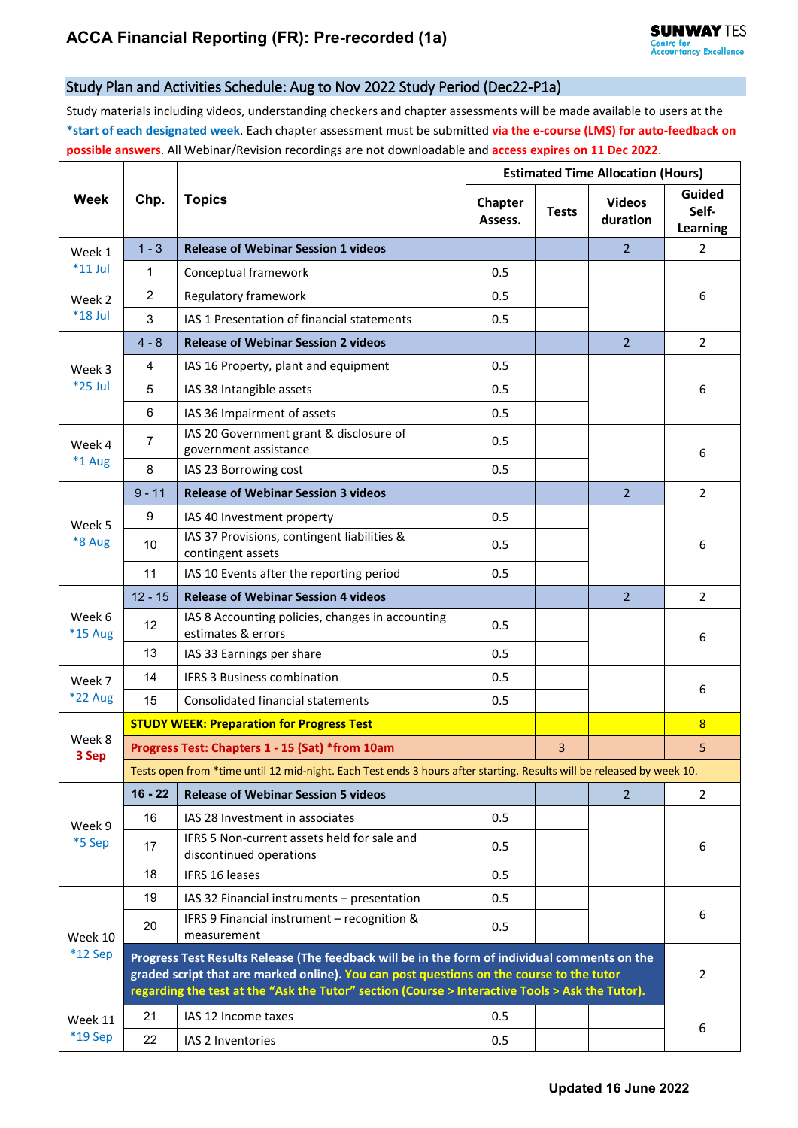## Study Plan and Activities Schedule: Aug to Nov 2022 Study Period (Dec22-P1a)

Study materials including videos, understanding checkers and chapter assessments will be made available to users at the **\*start of each designated week**. Each chapter assessment must be submitted **via the e-course (LMS) for auto-feedback on possible answers**. All Webinar/Revision recordings are not downloadable and **access expires on 11 Dec 2022**.

| Week                 | Chp.                                                                                                                                                                                                                                                                                         | <b>Topics</b>                                                          | <b>Estimated Time Allocation (Hours)</b> |              |                           |                                    |  |  |  |  |
|----------------------|----------------------------------------------------------------------------------------------------------------------------------------------------------------------------------------------------------------------------------------------------------------------------------------------|------------------------------------------------------------------------|------------------------------------------|--------------|---------------------------|------------------------------------|--|--|--|--|
|                      |                                                                                                                                                                                                                                                                                              |                                                                        | Chapter<br>Assess.                       | <b>Tests</b> | <b>Videos</b><br>duration | <b>Guided</b><br>Self-<br>Learning |  |  |  |  |
| Week 1<br>$*11$ Jul  | $1 - 3$                                                                                                                                                                                                                                                                                      | <b>Release of Webinar Session 1 videos</b>                             |                                          |              | $\overline{2}$            | 2                                  |  |  |  |  |
|                      | 1                                                                                                                                                                                                                                                                                            | Conceptual framework                                                   | 0.5                                      |              |                           |                                    |  |  |  |  |
| Week 2<br>$*18$ Jul  | $\overline{2}$                                                                                                                                                                                                                                                                               | Regulatory framework                                                   | 0.5                                      |              |                           | 6                                  |  |  |  |  |
|                      | 3                                                                                                                                                                                                                                                                                            | IAS 1 Presentation of financial statements                             | 0.5                                      |              |                           |                                    |  |  |  |  |
| Week 3<br>*25 Jul    | $4 - 8$                                                                                                                                                                                                                                                                                      | <b>Release of Webinar Session 2 videos</b>                             |                                          |              | $\overline{2}$            | $\overline{2}$                     |  |  |  |  |
|                      | 4                                                                                                                                                                                                                                                                                            | IAS 16 Property, plant and equipment                                   | 0.5                                      |              |                           | 6                                  |  |  |  |  |
|                      | 5                                                                                                                                                                                                                                                                                            | IAS 38 Intangible assets                                               | 0.5                                      |              |                           |                                    |  |  |  |  |
|                      | 6                                                                                                                                                                                                                                                                                            | IAS 36 Impairment of assets                                            | 0.5                                      |              |                           |                                    |  |  |  |  |
| Week 4<br>$*1$ Aug   | 7                                                                                                                                                                                                                                                                                            | IAS 20 Government grant & disclosure of<br>government assistance       | 0.5                                      |              |                           | 6                                  |  |  |  |  |
|                      | 8                                                                                                                                                                                                                                                                                            | IAS 23 Borrowing cost                                                  | 0.5                                      |              |                           |                                    |  |  |  |  |
| Week 5<br>*8 Aug     | $9 - 11$                                                                                                                                                                                                                                                                                     | <b>Release of Webinar Session 3 videos</b>                             |                                          |              | $\overline{2}$            | $\overline{2}$                     |  |  |  |  |
|                      | 9                                                                                                                                                                                                                                                                                            | IAS 40 Investment property                                             | 0.5                                      |              |                           |                                    |  |  |  |  |
|                      | 10                                                                                                                                                                                                                                                                                           | IAS 37 Provisions, contingent liabilities &<br>contingent assets       | 0.5                                      |              |                           | 6                                  |  |  |  |  |
|                      | 11                                                                                                                                                                                                                                                                                           | IAS 10 Events after the reporting period                               | 0.5                                      |              |                           |                                    |  |  |  |  |
|                      | $12 - 15$                                                                                                                                                                                                                                                                                    | <b>Release of Webinar Session 4 videos</b>                             |                                          |              | $\overline{2}$            | $\overline{2}$                     |  |  |  |  |
| Week 6<br>*15 Aug    | 12                                                                                                                                                                                                                                                                                           | IAS 8 Accounting policies, changes in accounting<br>estimates & errors | 0.5                                      |              |                           | 6                                  |  |  |  |  |
|                      | 13                                                                                                                                                                                                                                                                                           | IAS 33 Earnings per share                                              | 0.5                                      |              |                           |                                    |  |  |  |  |
| Week 7               | 14                                                                                                                                                                                                                                                                                           | <b>IFRS 3 Business combination</b>                                     | 0.5                                      |              |                           | 6                                  |  |  |  |  |
| <b>*22 Aug</b>       | 15                                                                                                                                                                                                                                                                                           | Consolidated financial statements                                      | 0.5                                      |              |                           |                                    |  |  |  |  |
| Week 8<br>3 Sep      | <b>STUDY WEEK: Preparation for Progress Test</b>                                                                                                                                                                                                                                             |                                                                        |                                          |              |                           | 8                                  |  |  |  |  |
|                      | Progress Test: Chapters 1 - 15 (Sat) *from 10am                                                                                                                                                                                                                                              |                                                                        |                                          |              |                           | 5                                  |  |  |  |  |
|                      | Tests open from *time until 12 mid-night. Each Test ends 3 hours after starting. Results will be released by week 10.                                                                                                                                                                        |                                                                        |                                          |              |                           |                                    |  |  |  |  |
| Week 9<br>*5 Sep     | $16 - 22$                                                                                                                                                                                                                                                                                    | <b>Release of Webinar Session 5 videos</b>                             |                                          |              | $\overline{2}$            | $\mathbf{2}^{\prime}$              |  |  |  |  |
|                      | 16                                                                                                                                                                                                                                                                                           | IAS 28 Investment in associates                                        | 0.5                                      |              |                           |                                    |  |  |  |  |
|                      | 17                                                                                                                                                                                                                                                                                           | IFRS 5 Non-current assets held for sale and<br>discontinued operations | 0.5                                      |              |                           | 6                                  |  |  |  |  |
|                      | 18                                                                                                                                                                                                                                                                                           | <b>IFRS 16 leases</b>                                                  | 0.5                                      |              |                           |                                    |  |  |  |  |
|                      | 19                                                                                                                                                                                                                                                                                           | IAS 32 Financial instruments - presentation                            | 0.5                                      |              |                           |                                    |  |  |  |  |
| Week 10<br>$*12$ Sep | 20                                                                                                                                                                                                                                                                                           | IFRS 9 Financial instrument - recognition &<br>measurement             | 0.5                                      |              |                           | 6                                  |  |  |  |  |
|                      | Progress Test Results Release (The feedback will be in the form of individual comments on the<br>graded script that are marked online). You can post questions on the course to the tutor<br>regarding the test at the "Ask the Tutor" section (Course > Interactive Tools > Ask the Tutor). |                                                                        |                                          |              |                           |                                    |  |  |  |  |
| Week 11<br>*19 Sep   | 21                                                                                                                                                                                                                                                                                           | IAS 12 Income taxes                                                    | 0.5                                      |              |                           |                                    |  |  |  |  |
|                      | 22                                                                                                                                                                                                                                                                                           | IAS 2 Inventories                                                      | 0.5                                      |              |                           | 6                                  |  |  |  |  |